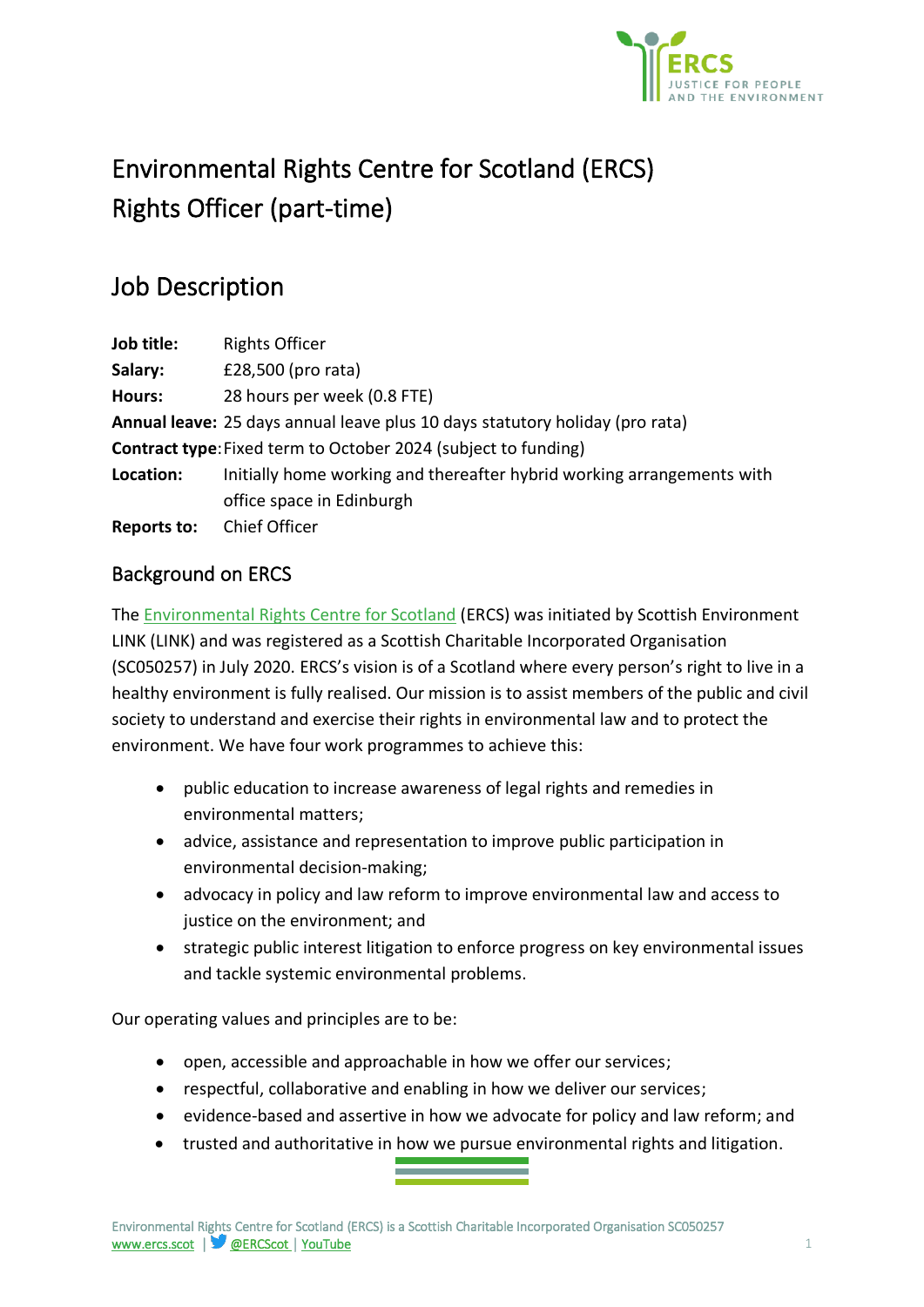

# Environmental Rights Centre for Scotland (ERCS) Rights Officer (part-time)

## Job Description

| <b>Rights Officer</b>                                                        |
|------------------------------------------------------------------------------|
| £28,500 (pro rata)                                                           |
| 28 hours per week (0.8 FTE)                                                  |
| Annual leave: 25 days annual leave plus 10 days statutory holiday (pro rata) |
| <b>Contract type:</b> Fixed term to October 2024 (subject to funding)        |
| Initially home working and thereafter hybrid working arrangements with       |
| office space in Edinburgh                                                    |
| <b>Chief Officer</b>                                                         |
|                                                                              |

## Background on ERCS

The [Environmental Rights Centre for Scotland](http://www.ercs.scot/) (ERCS) was initiated by Scottish Environment LINK (LINK) and was registered as a Scottish Charitable Incorporated Organisation (SC050257) in July 2020. ERCS's vision is of a Scotland where every person's right to live in a healthy environment is fully realised. Our mission is to assist members of the public and civil society to understand and exercise their rights in environmental law and to protect the environment. We have four work programmes to achieve this:

- public education to increase awareness of legal rights and remedies in environmental matters;
- advice, assistance and representation to improve public participation in environmental decision-making;
- advocacy in policy and law reform to improve environmental law and access to justice on the environment; and
- strategic public interest litigation to enforce progress on key environmental issues and tackle systemic environmental problems.

Our operating values and principles are to be:

- open, accessible and approachable in how we offer our services;
- respectful, collaborative and enabling in how we deliver our services;
- evidence-based and assertive in how we advocate for policy and law reform; and
- trusted and authoritative in how we pursue environmental rights and litigation.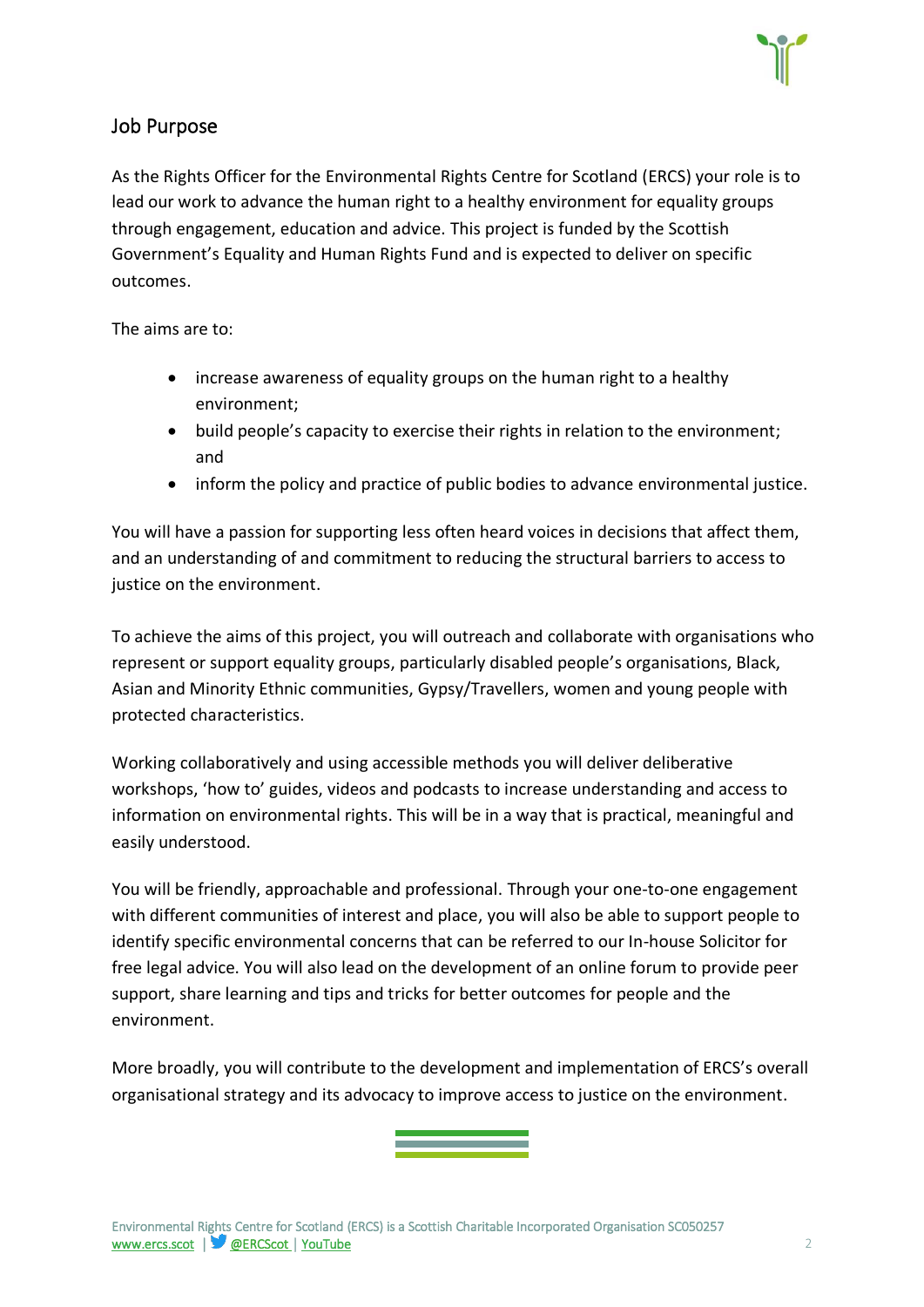

#### Job Purpose

As the Rights Officer for the Environmental Rights Centre for Scotland (ERCS) your role is to lead our work to advance the human right to a healthy environment for equality groups through engagement, education and advice. This project is funded by the Scottish Government's Equality and Human Rights Fund and is expected to deliver on specific outcomes.

The aims are to:

- increase awareness of equality groups on the human right to a healthy environment;
- build people's capacity to exercise their rights in relation to the environment; and
- inform the policy and practice of public bodies to advance environmental justice.

You will have a passion for supporting less often heard voices in decisions that affect them, and an understanding of and commitment to reducing the structural barriers to access to justice on the environment.

To achieve the aims of this project, you will outreach and collaborate with organisations who represent or support equality groups, particularly disabled people's organisations, Black, Asian and Minority Ethnic communities, Gypsy/Travellers, women and young people with protected characteristics.

Working collaboratively and using accessible methods you will deliver deliberative workshops, 'how to' guides, videos and podcasts to increase understanding and access to information on environmental rights. This will be in a way that is practical, meaningful and easily understood.

You will be friendly, approachable and professional. Through your one-to-one engagement with different communities of interest and place, you will also be able to support people to identify specific environmental concerns that can be referred to our In-house Solicitor for free legal advice. You will also lead on the development of an online forum to provide peer support, share learning and tips and tricks for better outcomes for people and the environment.

More broadly, you will contribute to the development and implementation of ERCS's overall organisational strategy and its advocacy to improve access to justice on the environment.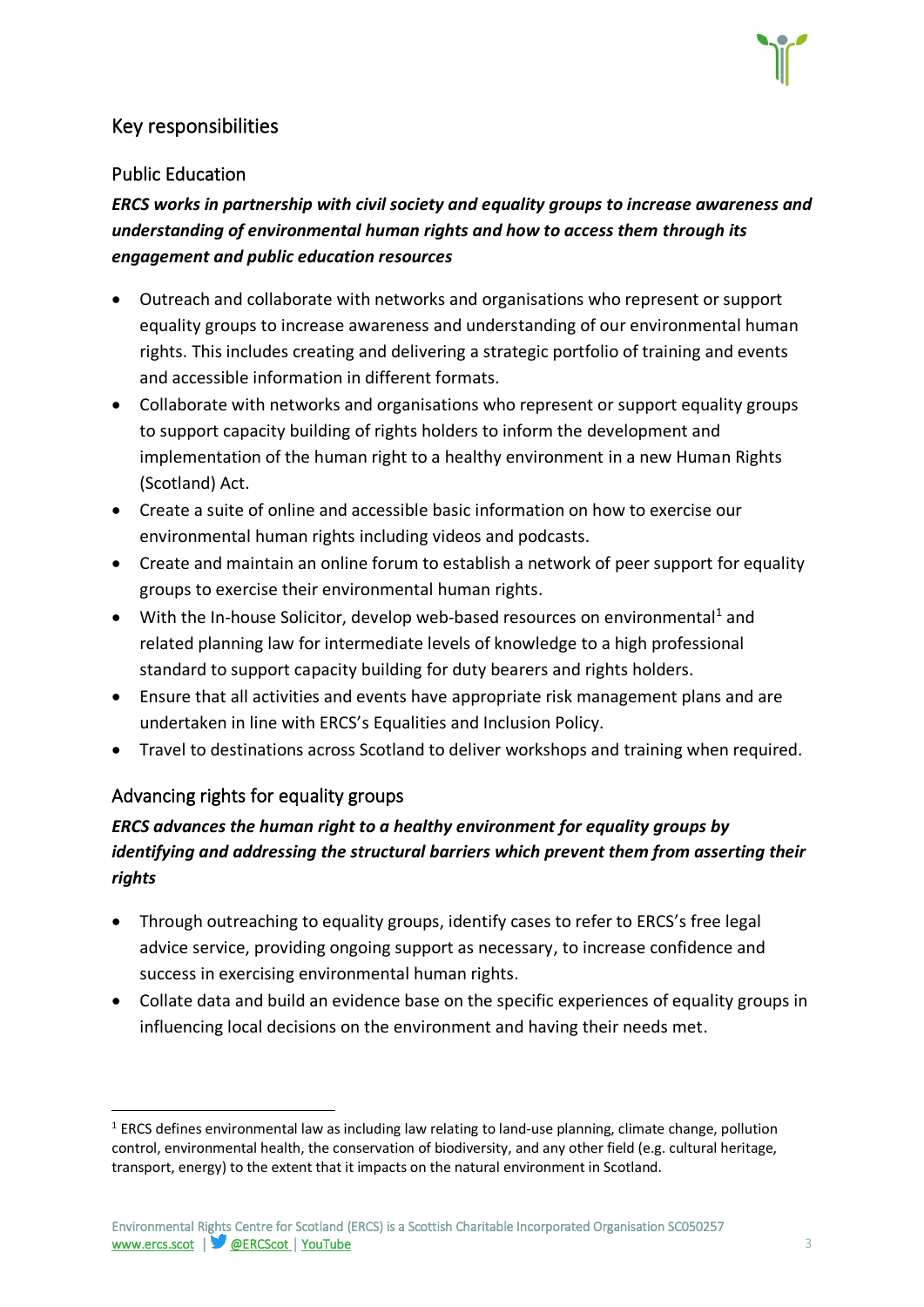## Key responsibilities

#### Public Education

*ERCS works in partnership with civil society and equality groups to increase awareness and understanding of environmental human rights and how to access them through its engagement and public education resources*

- Outreach and collaborate with networks and organisations who represent or support equality groups to increase awareness and understanding of our environmental human rights. This includes creating and delivering a strategic portfolio of training and events and accessible information in different formats.
- Collaborate with networks and organisations who represent or support equality groups to support capacity building of rights holders to inform the development and implementation of the human right to a healthy environment in a new Human Rights (Scotland) Act.
- Create a suite of online and accessible basic information on how to exercise our environmental human rights including videos and podcasts.
- Create and maintain an online forum to establish a network of peer support for equality groups to exercise their environmental human rights.
- With the In-house Solicitor, develop web-based resources on environmental<sup>1</sup> and related planning law for intermediate levels of knowledge to a high professional standard to support capacity building for duty bearers and rights holders.
- Ensure that all activities and events have appropriate risk management plans and are undertaken in line with ERCS's Equalities and Inclusion Policy.
- Travel to destinations across Scotland to deliver workshops and training when required.

### Advancing rights for equality groups

## *ERCS advances the human right to a healthy environment for equality groups by identifying and addressing the structural barriers which prevent them from asserting their rights*

- Through outreaching to equality groups, identify cases to refer to ERCS's free legal advice service, providing ongoing support as necessary, to increase confidence and success in exercising environmental human rights.
- Collate data and build an evidence base on the specific experiences of equality groups in influencing local decisions on the environment and having their needs met.

<sup>&</sup>lt;sup>1</sup> ERCS defines environmental law as including law relating to land-use planning, climate change, pollution control, environmental health, the conservation of biodiversity, and any other field (e.g. cultural heritage, transport, energy) to the extent that it impacts on the natural environment in Scotland.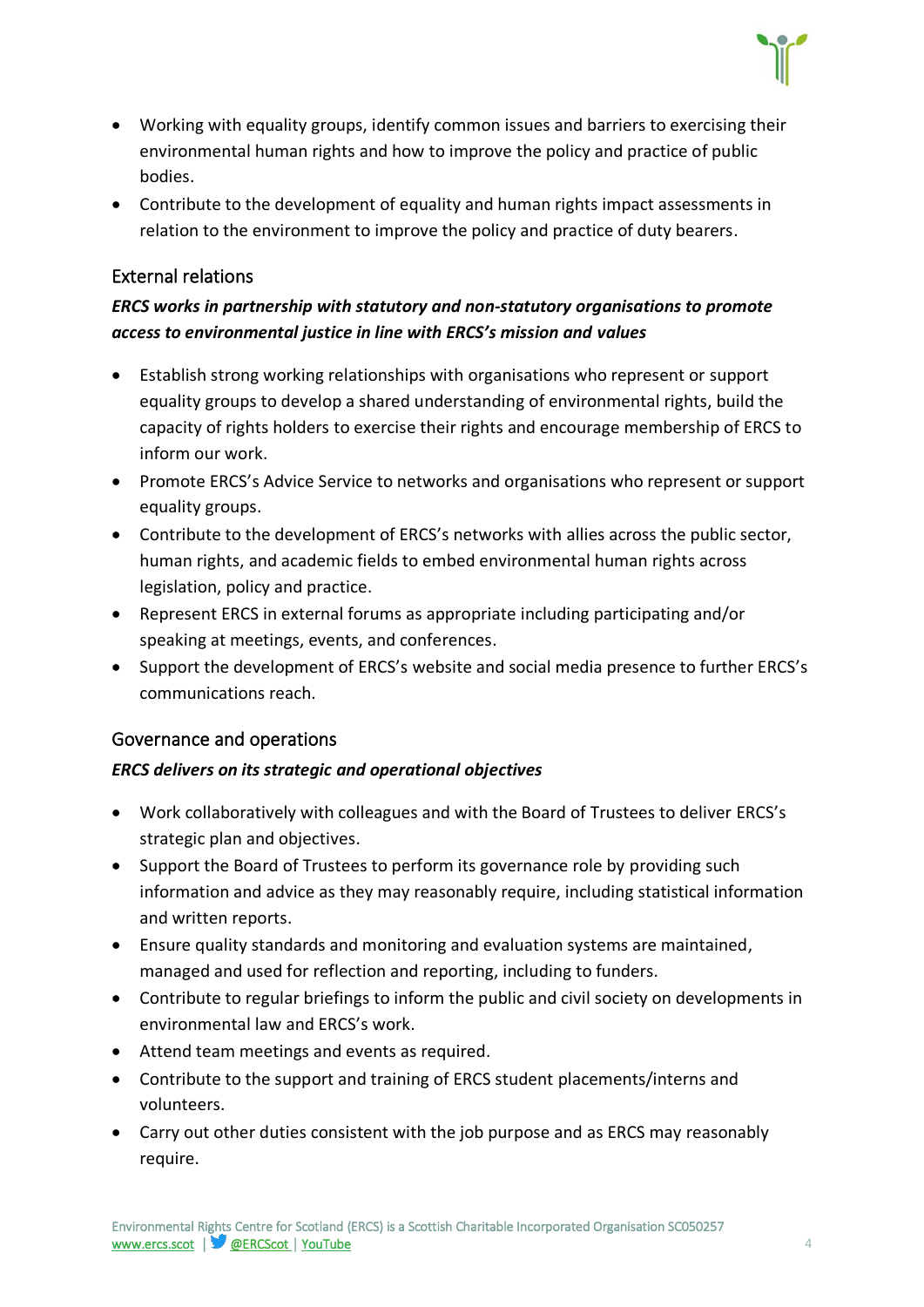- Working with equality groups, identify common issues and barriers to exercising their environmental human rights and how to improve the policy and practice of public bodies.
- Contribute to the development of equality and human rights impact assessments in relation to the environment to improve the policy and practice of duty bearers.

#### External relations

#### *ERCS works in partnership with statutory and non-statutory organisations to promote access to environmental justice in line with ERCS's mission and values*

- Establish strong working relationships with organisations who represent or support equality groups to develop a shared understanding of environmental rights, build the capacity of rights holders to exercise their rights and encourage membership of ERCS to inform our work.
- Promote ERCS's Advice Service to networks and organisations who represent or support equality groups.
- Contribute to the development of ERCS's networks with allies across the public sector, human rights, and academic fields to embed environmental human rights across legislation, policy and practice.
- Represent ERCS in external forums as appropriate including participating and/or speaking at meetings, events, and conferences.
- Support the development of ERCS's website and social media presence to further ERCS's communications reach.

#### Governance and operations

#### *ERCS delivers on its strategic and operational objectives*

- Work collaboratively with colleagues and with the Board of Trustees to deliver ERCS's strategic plan and objectives.
- Support the Board of Trustees to perform its governance role by providing such information and advice as they may reasonably require, including statistical information and written reports.
- Ensure quality standards and monitoring and evaluation systems are maintained, managed and used for reflection and reporting, including to funders.
- Contribute to regular briefings to inform the public and civil society on developments in environmental law and ERCS's work.
- Attend team meetings and events as required.
- Contribute to the support and training of ERCS student placements/interns and volunteers.
- Carry out other duties consistent with the job purpose and as ERCS may reasonably require.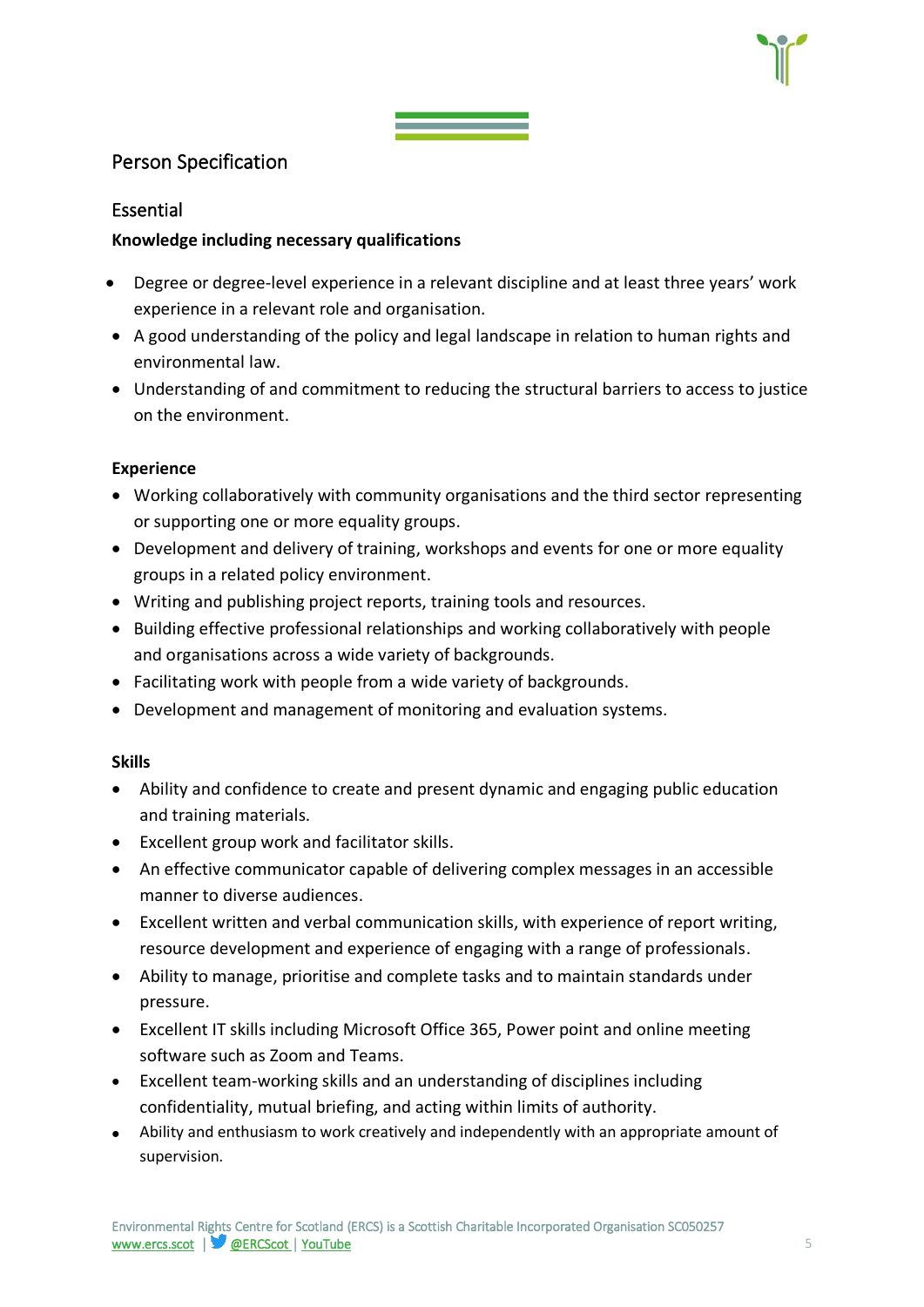#### Person Specification

#### Essential

#### **Knowledge including necessary qualifications**

- Degree or degree-level experience in a relevant discipline and at least three years' work experience in a relevant role and organisation.
- A good understanding of the policy and legal landscape in relation to human rights and environmental law.
- Understanding of and commitment to reducing the structural barriers to access to justice on the environment.

#### **Experience**

- Working collaboratively with community organisations and the third sector representing or supporting one or more equality groups.
- Development and delivery of training, workshops and events for one or more equality groups in a related policy environment.
- Writing and publishing project reports, training tools and resources.
- Building effective professional relationships and working collaboratively with people and organisations across a wide variety of backgrounds.
- Facilitating work with people from a wide variety of backgrounds.
- Development and management of monitoring and evaluation systems.

#### **Skills**

- Ability and confidence to create and present dynamic and engaging public education and training materials.
- Excellent group work and facilitator skills.
- An effective communicator capable of delivering complex messages in an accessible manner to diverse audiences.
- Excellent written and verbal communication skills, with experience of report writing, resource development and experience of engaging with a range of professionals.
- Ability to manage, prioritise and complete tasks and to maintain standards under pressure.
- Excellent IT skills including Microsoft Office 365, Power point and online meeting software such as Zoom and Teams.
- Excellent team-working skills and an understanding of disciplines including confidentiality, mutual briefing, and acting within limits of authority.
- Ability and enthusiasm to work creatively and independently with an appropriate amount of supervision.